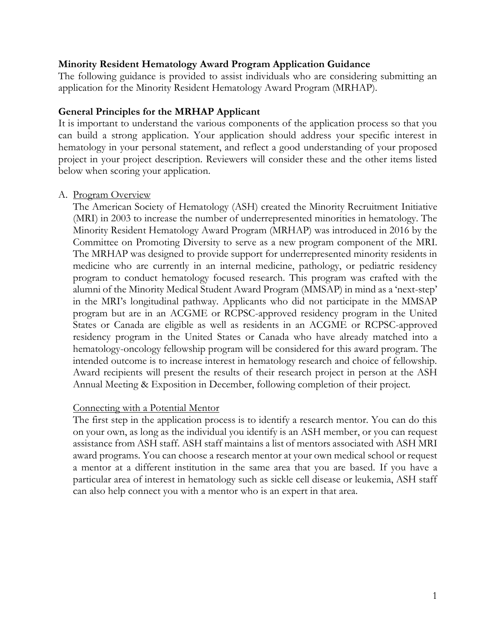### **Minority Resident Hematology Award Program Application Guidance**

The following guidance is provided to assist individuals who are considering submitting an application for the Minority Resident Hematology Award Program (MRHAP).

#### **General Principles for the MRHAP Applicant**

It is important to understand the various components of the application process so that you can build a strong application. Your application should address your specific interest in hematology in your personal statement, and reflect a good understanding of your proposed project in your project description. Reviewers will consider these and the other items listed below when scoring your application.

#### A. Program Overview

The American Society of Hematology (ASH) created the Minority Recruitment Initiative (MRI) in 2003 to increase the number of underrepresented minorities in hematology. The Minority Resident Hematology Award Program (MRHAP) was introduced in 2016 by the Committee on Promoting Diversity to serve as a new program component of the MRI. The MRHAP was designed to provide support for underrepresented minority residents in medicine who are currently in an internal medicine, pathology, or pediatric residency program to conduct hematology focused research. This program was crafted with the alumni of the Minority Medical Student Award Program (MMSAP) in mind as a 'next-step' in the MRI's longitudinal pathway. Applicants who did not participate in the MMSAP program but are in an ACGME or RCPSC-approved residency program in the United States or Canada are eligible as well as residents in an ACGME or RCPSC-approved residency program in the United States or Canada who have already matched into a hematology-oncology fellowship program will be considered for this award program. The intended outcome is to increase interest in hematology research and choice of fellowship. Award recipients will present the results of their research project in person at the ASH Annual Meeting & Exposition in December, following completion of their project.

## Connecting with a Potential Mentor

The first step in the application process is to identify a research mentor. You can do this on your own, as long as the individual you identify is an ASH member, or you can request assistance from ASH staff. ASH staff maintains a list of mentors associated with ASH MRI award programs. You can choose a research mentor at your own medical school or request a mentor at a different institution in the same area that you are based. If you have a particular area of interest in hematology such as sickle cell disease or leukemia, ASH staff can also help connect you with a mentor who is an expert in that area.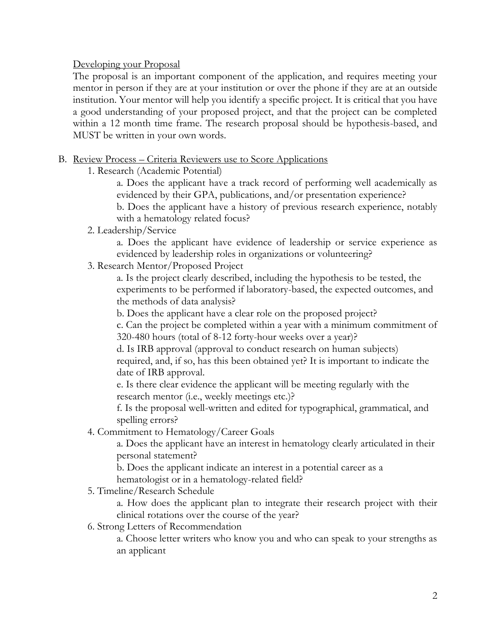## Developing your Proposal

The proposal is an important component of the application, and requires meeting your mentor in person if they are at your institution or over the phone if they are at an outside institution. Your mentor will help you identify a specific project. It is critical that you have a good understanding of your proposed project, and that the project can be completed within a 12 month time frame. The research proposal should be hypothesis-based, and MUST be written in your own words.

# B. Review Process – Criteria Reviewers use to Score Applications

1. Research (Academic Potential)

a. Does the applicant have a track record of performing well academically as evidenced by their GPA, publications, and/or presentation experience?

b. Does the applicant have a history of previous research experience, notably with a hematology related focus?

2. Leadership/Service

a. Does the applicant have evidence of leadership or service experience as evidenced by leadership roles in organizations or volunteering?

3. Research Mentor/Proposed Project

a. Is the project clearly described, including the hypothesis to be tested, the experiments to be performed if laboratory-based, the expected outcomes, and the methods of data analysis?

b. Does the applicant have a clear role on the proposed project?

c. Can the project be completed within a year with a minimum commitment of 320-480 hours (total of 8-12 forty-hour weeks over a year)?

d. Is IRB approval (approval to conduct research on human subjects) required, and, if so, has this been obtained yet? It is important to indicate the date of IRB approval.

e. Is there clear evidence the applicant will be meeting regularly with the research mentor (i.e., weekly meetings etc.)?

f. Is the proposal well-written and edited for typographical, grammatical, and spelling errors?

4. Commitment to Hematology/Career Goals

a. Does the applicant have an interest in hematology clearly articulated in their personal statement?

b. Does the applicant indicate an interest in a potential career as a

hematologist or in a hematology-related field?

5. Timeline/Research Schedule

a. How does the applicant plan to integrate their research project with their clinical rotations over the course of the year?

6. Strong Letters of Recommendation

a. Choose letter writers who know you and who can speak to your strengths as an applicant